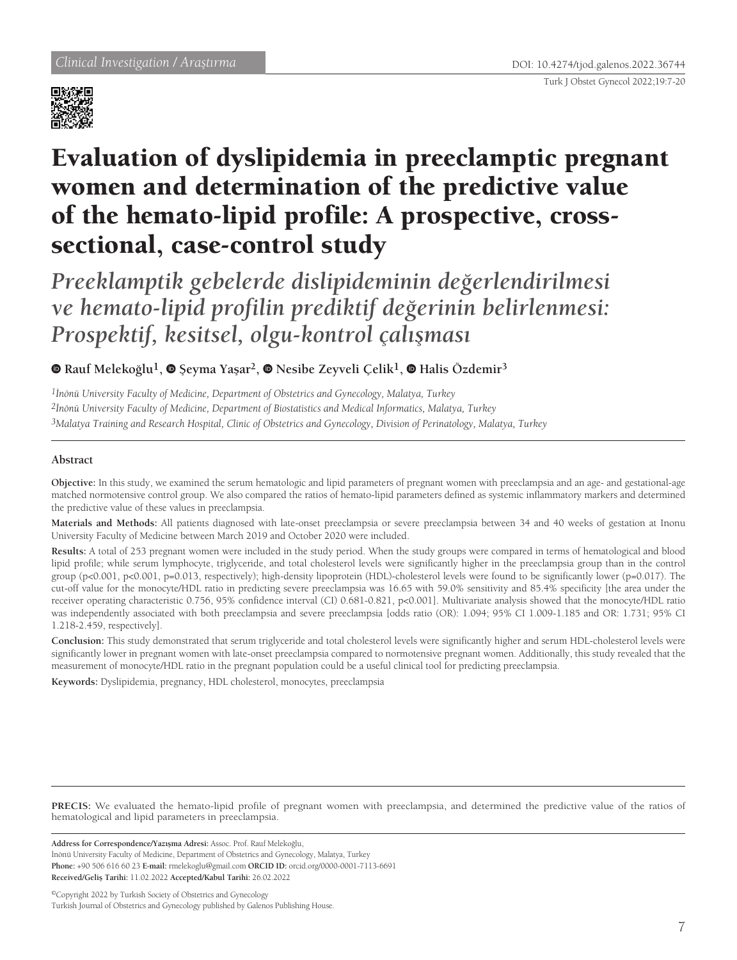



# Evaluation of dyslipidemia in preeclamptic pregnant women and determination of the predictive value of the hemato-lipid profile: A prospective, crosssectional, case-control study

*Preeklamptik gebelerde dislipideminin değerlendirilmesi ve hemato-lipid profilin prediktif değerinin belirlenmesi: Prospektif, kesitsel, olgu-kontrol çalışması*

**Rauf Melekoğlu1, Şeyma Yaşar2, Nesibe Zeyveli Çelik1,Halis Özdemir<sup>3</sup>**

*1İnönü University Faculty of Medicine, Department of Obstetrics and Gynecology, Malatya, Turkey 2İnönü University Faculty of Medicine, Department of Biostatistics and Medical Informatics, Malatya, Turkey 3Malatya Training and Research Hospital, Clinic of Obstetrics and Gynecology, Division of Perinatology, Malatya, Turkey*

# **Abstract**

**Objective:** In this study, we examined the serum hematologic and lipid parameters of pregnant women with preeclampsia and an age- and gestational-age matched normotensive control group. We also compared the ratios of hemato-lipid parameters defined as systemic inflammatory markers and determined the predictive value of these values in preeclampsia.

**Materials and Methods:** All patients diagnosed with late-onset preeclampsia or severe preeclampsia between 34 and 40 weeks of gestation at Inonu University Faculty of Medicine between March 2019 and October 2020 were included.

**Results:** A total of 253 pregnant women were included in the study period. When the study groups were compared in terms of hematological and blood lipid profile; while serum lymphocyte, triglyceride, and total cholesterol levels were significantly higher in the preeclampsia group than in the control group (p<0.001, p<0.001, p=0.013, respectively); high-density lipoprotein (HDL)-cholesterol levels were found to be significantly lower (p=0.017). The cut-off value for the monocyte/HDL ratio in predicting severe preeclampsia was 16.65 with 59.0% sensitivity and 85.4% specificity [the area under the receiver operating characteristic 0.756, 95% confidence interval (CI) 0.681-0.821, p<0.001]. Multivariate analysis showed that the monocyte/HDL ratio was independently associated with both preeclampsia and severe preeclampsia [odds ratio (OR): 1.094; 95% CI 1.009-1.185 and OR: 1.731; 95% CI 1.218-2.459, respectively].

**Conclusion:** This study demonstrated that serum triglyceride and total cholesterol levels were significantly higher and serum HDL-cholesterol levels were significantly lower in pregnant women with late-onset preeclampsia compared to normotensive pregnant women. Additionally, this study revealed that the measurement of monocyte/HDL ratio in the pregnant population could be a useful clinical tool for predicting preeclampsia.

**Keywords:** Dyslipidemia, pregnancy, HDL cholesterol, monocytes, preeclampsia

**PRECIS:** We evaluated the hemato-lipid profile of pregnant women with preeclampsia, and determined the predictive value of the ratios of hematological and lipid parameters in preeclampsia.

**Address for Correspondence/Yazışma Adresi:** Assoc. Prof. Rauf Melekoğlu,

İnönü University Faculty of Medicine, Department of Obstetrics and Gynecology, Malatya, Turkey

**Phone:** +90 506 616 60 23 **E-mail:** rmelekoglu@gmail.com **ORCID ID:** orcid.org/0000-0001-7113-6691 **Received/Geliş Tarihi:** 11.02.2022 **Accepted/Kabul Tarihi:** 26.02.2022

©Copyright 2022 by Turkish Society of Obstetrics and Gynecology Turkish Journal of Obstetrics and Gynecology published by Galenos Publishing House.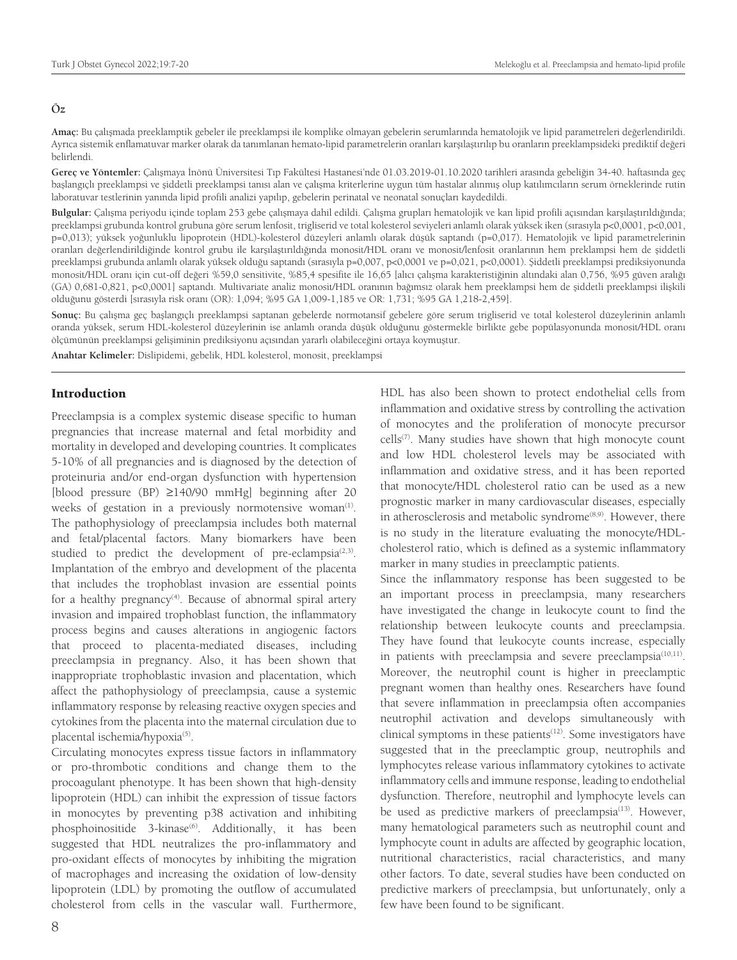#### **Öz**

**Amaç:** Bu çalışmada preeklamptik gebeler ile preeklampsi ile komplike olmayan gebelerin serumlarında hematolojik ve lipid parametreleri değerlendirildi. Ayrıca sistemik enflamatuvar marker olarak da tanımlanan hemato-lipid parametrelerin oranları karşılaştırılıp bu oranların preeklampsideki prediktif değeri belirlendi.

**Gereç ve Yöntemler:** Çalışmaya İnönü Üniversitesi Tıp Fakültesi Hastanesi'nde 01.03.2019-01.10.2020 tarihleri arasında gebeliğin 34-40. haftasında geç başlangıçlı preeklampsi ve şiddetli preeklampsi tanısı alan ve çalışma kriterlerine uygun tüm hastalar alınmış olup katılımcıların serum örneklerinde rutin laboratuvar testlerinin yanında lipid profili analizi yapılıp, gebelerin perinatal ve neonatal sonuçları kaydedildi.

**Bulgular:** Çalışma periyodu içinde toplam 253 gebe çalışmaya dahil edildi. Çalışma grupları hematolojik ve kan lipid profili açısından karşılaştırıldığında; preeklampsi grubunda kontrol grubuna göre serum lenfosit, trigliserid ve total kolesterol seviyeleri anlamlı olarak yüksek iken (sırasıyla p<0,0001, p<0,001, p=0,013); yüksek yoğunluklu lipoprotein (HDL)-kolesterol düzeyleri anlamlı olarak düşük saptandı (p=0,017). Hematolojik ve lipid parametrelerinin oranları değerlendirildiğinde kontrol grubu ile karşılaştırıldığında monosit/HDL oranı ve monosit/lenfosit oranlarının hem preklampsi hem de şiddetli preeklampsi grubunda anlamlı olarak yüksek olduğu saptandı (sırasıyla p=0,007, p<0,0001 ve p=0,021, p<0,0001). Şiddetli preeklampsi prediksiyonunda monosit/HDL oranı için cut-off değeri %59,0 sensitivite, %85,4 spesifite ile 16,65 [alıcı çalışma karakteristiğinin altındaki alan 0,756, %95 güven aralığı (GA) 0,681-0,821, p<0,0001] saptandı. Multivariate analiz monosit/HDL oranının bağımsız olarak hem preeklampsi hem de şiddetli preeklampsi ilişkili olduğunu gösterdi [sırasıyla risk oranı (OR): 1,094; %95 GA 1,009-1,185 ve OR: 1,731; %95 GA 1,218-2,459].

**Sonuç:** Bu çalışma geç başlangıçlı preeklampsi saptanan gebelerde normotansif gebelere göre serum trigliserid ve total kolesterol düzeylerinin anlamlı oranda yüksek, serum HDL-kolesterol düzeylerinin ise anlamlı oranda düşük olduğunu göstermekle birlikte gebe popülasyonunda monosit/HDL oranı ölçümünün preeklampsi gelişiminin prediksiyonu açısından yararlı olabileceğini ortaya koymuştur.

**Anahtar Kelimeler:** Dislipidemi, gebelik, HDL kolesterol, monosit, preeklampsi

# Introduction

Preeclampsia is a complex systemic disease specific to human pregnancies that increase maternal and fetal morbidity and mortality in developed and developing countries. It complicates 5-10% of all pregnancies and is diagnosed by the detection of proteinuria and/or end-organ dysfunction with hypertension [blood pressure (BP) ≥140/90 mmHg] beginning after 20 weeks of gestation in a previously normotensive woman<sup>(1)</sup>. The pathophysiology of preeclampsia includes both maternal and fetal/placental factors. Many biomarkers have been studied to predict the development of pre-eclampsia $(2,3)$ . Implantation of the embryo and development of the placenta that includes the trophoblast invasion are essential points for a healthy pregnancy<sup>(4)</sup>. Because of abnormal spiral artery invasion and impaired trophoblast function, the inflammatory process begins and causes alterations in angiogenic factors that proceed to placenta-mediated diseases, including preeclampsia in pregnancy. Also, it has been shown that inappropriate trophoblastic invasion and placentation, which affect the pathophysiology of preeclampsia, cause a systemic inflammatory response by releasing reactive oxygen species and cytokines from the placenta into the maternal circulation due to placental ischemia/hypoxia<sup>(5)</sup>.

Circulating monocytes express tissue factors in inflammatory or pro-thrombotic conditions and change them to the procoagulant phenotype. It has been shown that high-density lipoprotein (HDL) can inhibit the expression of tissue factors in monocytes by preventing p38 activation and inhibiting phosphoinositide 3-kinase<sup>(6)</sup>. Additionally, it has been suggested that HDL neutralizes the pro-inflammatory and pro-oxidant effects of monocytes by inhibiting the migration of macrophages and increasing the oxidation of low-density lipoprotein (LDL) by promoting the outflow of accumulated cholesterol from cells in the vascular wall. Furthermore, HDL has also been shown to protect endothelial cells from inflammation and oxidative stress by controlling the activation of monocytes and the proliferation of monocyte precursor cells<sup>(7)</sup>. Many studies have shown that high monocyte count and low HDL cholesterol levels may be associated with inflammation and oxidative stress, and it has been reported that monocyte/HDL cholesterol ratio can be used as a new prognostic marker in many cardiovascular diseases, especially in atherosclerosis and metabolic syndrome<sup>(8,9)</sup>. However, there is no study in the literature evaluating the monocyte/HDLcholesterol ratio, which is defined as a systemic inflammatory marker in many studies in preeclamptic patients.

Since the inflammatory response has been suggested to be an important process in preeclampsia, many researchers have investigated the change in leukocyte count to find the relationship between leukocyte counts and preeclampsia. They have found that leukocyte counts increase, especially in patients with preeclampsia and severe preeclampsia<sup>(10,11)</sup>. Moreover, the neutrophil count is higher in preeclamptic pregnant women than healthy ones. Researchers have found that severe inflammation in preeclampsia often accompanies neutrophil activation and develops simultaneously with clinical symptoms in these patients<sup>(12)</sup>. Some investigators have suggested that in the preeclamptic group, neutrophils and lymphocytes release various inflammatory cytokines to activate inflammatory cells and immune response, leading to endothelial dysfunction. Therefore, neutrophil and lymphocyte levels can be used as predictive markers of preeclampsia<sup>(13)</sup>. However, many hematological parameters such as neutrophil count and lymphocyte count in adults are affected by geographic location, nutritional characteristics, racial characteristics, and many other factors. To date, several studies have been conducted on predictive markers of preeclampsia, but unfortunately, only a few have been found to be significant.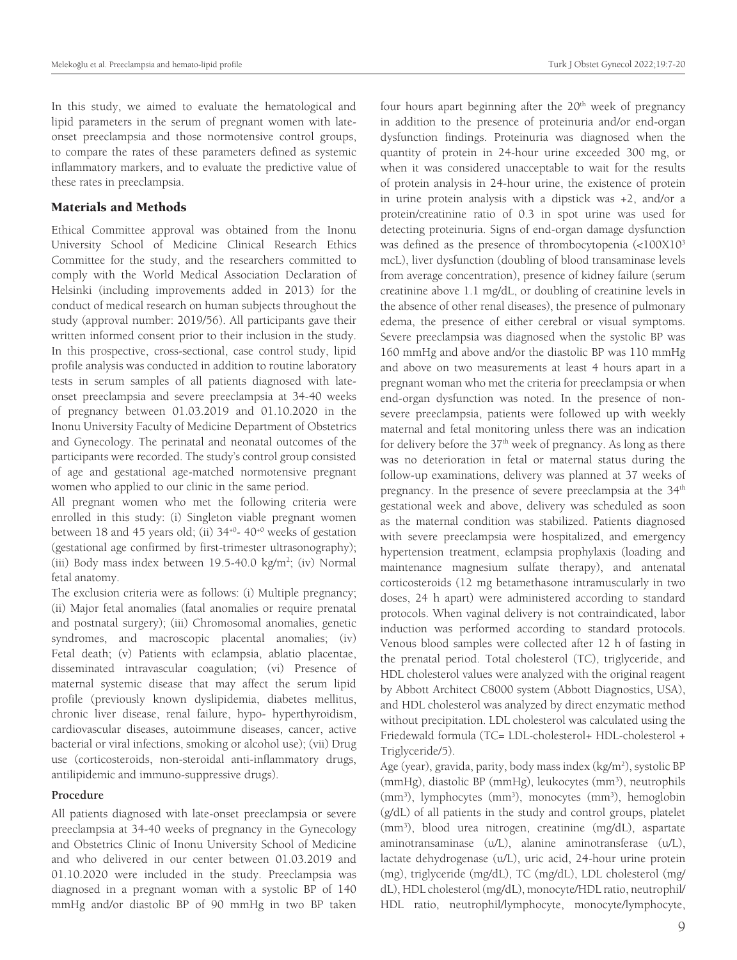In this study, we aimed to evaluate the hematological and lipid parameters in the serum of pregnant women with lateonset preeclampsia and those normotensive control groups, to compare the rates of these parameters defined as systemic inflammatory markers, and to evaluate the predictive value of these rates in preeclampsia.

# Materials and Methods

Ethical Committee approval was obtained from the Inonu University School of Medicine Clinical Research Ethics Committee for the study, and the researchers committed to comply with the World Medical Association Declaration of Helsinki (including improvements added in 2013) for the conduct of medical research on human subjects throughout the study (approval number: 2019/56). All participants gave their written informed consent prior to their inclusion in the study. In this prospective, cross-sectional, case control study, lipid profile analysis was conducted in addition to routine laboratory tests in serum samples of all patients diagnosed with lateonset preeclampsia and severe preeclampsia at 34-40 weeks of pregnancy between 01.03.2019 and 01.10.2020 in the Inonu University Faculty of Medicine Department of Obstetrics and Gynecology. The perinatal and neonatal outcomes of the participants were recorded. The study's control group consisted of age and gestational age-matched normotensive pregnant women who applied to our clinic in the same period.

All pregnant women who met the following criteria were enrolled in this study: (i) Singleton viable pregnant women between 18 and 45 years old; (ii)  $34^{+0}$ -  $40^{+0}$  weeks of gestation (gestational age confirmed by first-trimester ultrasonography); (iii) Body mass index between 19.5-40.0 kg/m<sup>2</sup>; (iv) Normal fetal anatomy.

The exclusion criteria were as follows: (i) Multiple pregnancy; (ii) Major fetal anomalies (fatal anomalies or require prenatal and postnatal surgery); (iii) Chromosomal anomalies, genetic syndromes, and macroscopic placental anomalies; (iv) Fetal death; (v) Patients with eclampsia, ablatio placentae, disseminated intravascular coagulation; (vi) Presence of maternal systemic disease that may affect the serum lipid profile (previously known dyslipidemia, diabetes mellitus, chronic liver disease, renal failure, hypo- hyperthyroidism, cardiovascular diseases, autoimmune diseases, cancer, active bacterial or viral infections, smoking or alcohol use); (vii) Drug use (corticosteroids, non-steroidal anti-inflammatory drugs, antilipidemic and immuno-suppressive drugs).

#### **Procedure**

All patients diagnosed with late-onset preeclampsia or severe preeclampsia at 34-40 weeks of pregnancy in the Gynecology and Obstetrics Clinic of Inonu University School of Medicine and who delivered in our center between 01.03.2019 and 01.10.2020 were included in the study. Preeclampsia was diagnosed in a pregnant woman with a systolic BP of 140 mmHg and/or diastolic BP of 90 mmHg in two BP taken

four hours apart beginning after the 20<sup>th</sup> week of pregnancy in addition to the presence of proteinuria and/or end-organ dysfunction findings. Proteinuria was diagnosed when the quantity of protein in 24-hour urine exceeded 300 mg, or when it was considered unacceptable to wait for the results of protein analysis in 24-hour urine, the existence of protein in urine protein analysis with a dipstick was +2, and/or a protein/creatinine ratio of 0.3 in spot urine was used for detecting proteinuria. Signs of end-organ damage dysfunction was defined as the presence of thrombocytopenia (<100X10<sup>3</sup> mcL), liver dysfunction (doubling of blood transaminase levels from average concentration), presence of kidney failure (serum creatinine above 1.1 mg/dL, or doubling of creatinine levels in the absence of other renal diseases), the presence of pulmonary edema, the presence of either cerebral or visual symptoms. Severe preeclampsia was diagnosed when the systolic BP was 160 mmHg and above and/or the diastolic BP was 110 mmHg and above on two measurements at least 4 hours apart in a pregnant woman who met the criteria for preeclampsia or when end-organ dysfunction was noted. In the presence of nonsevere preeclampsia, patients were followed up with weekly maternal and fetal monitoring unless there was an indication for delivery before the 37<sup>th</sup> week of pregnancy. As long as there was no deterioration in fetal or maternal status during the follow-up examinations, delivery was planned at 37 weeks of pregnancy. In the presence of severe preeclampsia at the 34<sup>th</sup> gestational week and above, delivery was scheduled as soon as the maternal condition was stabilized. Patients diagnosed with severe preeclampsia were hospitalized, and emergency hypertension treatment, eclampsia prophylaxis (loading and maintenance magnesium sulfate therapy), and antenatal corticosteroids (12 mg betamethasone intramuscularly in two doses, 24 h apart) were administered according to standard protocols. When vaginal delivery is not contraindicated, labor induction was performed according to standard protocols. Venous blood samples were collected after 12 h of fasting in the prenatal period. Total cholesterol (TC), triglyceride, and HDL cholesterol values were analyzed with the original reagent by Abbott Architect C8000 system (Abbott Diagnostics, USA), and HDL cholesterol was analyzed by direct enzymatic method without precipitation. LDL cholesterol was calculated using the Friedewald formula (TC= LDL-cholesterol+ HDL-cholesterol + Triglyceride/5).

Age (year), gravida, parity, body mass index (kg/m<sup>2</sup>), systolic BP (mmHg), diastolic BP (mmHg), leukocytes (mm<sup>3</sup>), neutrophils (mm<sup>3</sup>), lymphocytes (mm<sup>3</sup>), monocytes (mm<sup>3</sup>), hemoglobin (g/dL) of all patients in the study and control groups, platelet (mm<sup>3</sup> ), blood urea nitrogen, creatinine (mg/dL), aspartate aminotransaminase (u/L), alanine aminotransferase (u/L), lactate dehydrogenase (u/L), uric acid, 24-hour urine protein (mg), triglyceride (mg/dL), TC (mg/dL), LDL cholesterol (mg/ dL), HDL cholesterol (mg/dL), monocyte/HDL ratio, neutrophil/ HDL ratio, neutrophil/lymphocyte, monocyte/lymphocyte,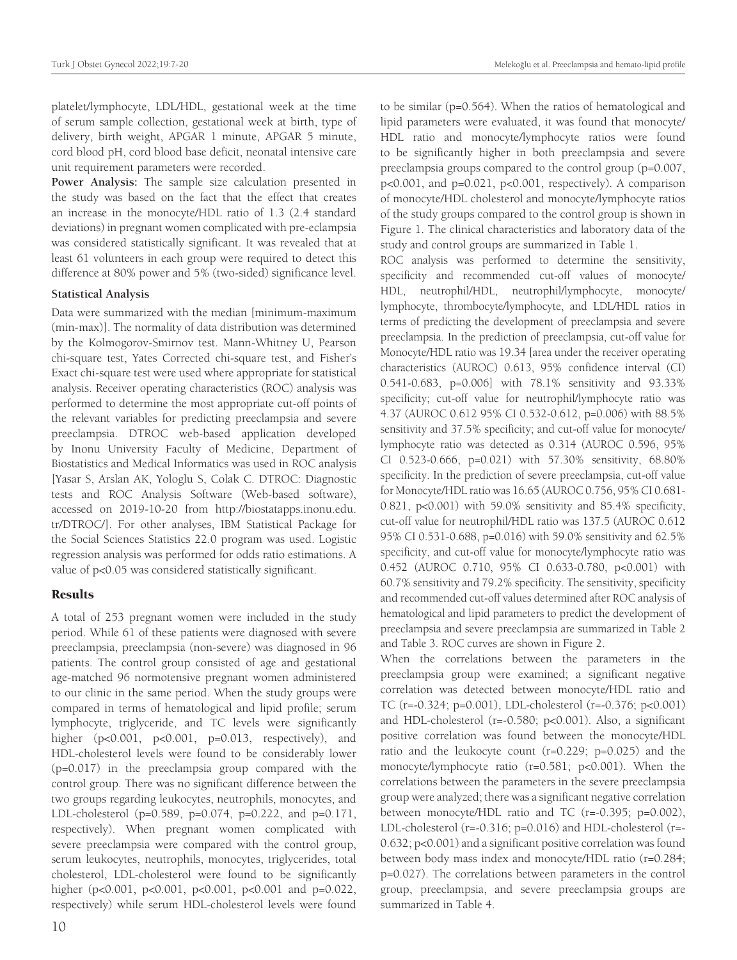platelet/lymphocyte, LDL/HDL, gestational week at the time of serum sample collection, gestational week at birth, type of delivery, birth weight, APGAR 1 minute, APGAR 5 minute, cord blood pH, cord blood base deficit, neonatal intensive care unit requirement parameters were recorded.

**Power Analysis:** The sample size calculation presented in the study was based on the fact that the effect that creates an increase in the monocyte/HDL ratio of 1.3 (2.4 standard deviations) in pregnant women complicated with pre-eclampsia was considered statistically significant. It was revealed that at least 61 volunteers in each group were required to detect this difference at 80% power and 5% (two-sided) significance level.

## **Statistical Analysis**

Data were summarized with the median [minimum-maximum (min-max)]. The normality of data distribution was determined by the Kolmogorov-Smirnov test. Mann-Whitney U, Pearson chi-square test, Yates Corrected chi-square test, and Fisher's Exact chi-square test were used where appropriate for statistical analysis. Receiver operating characteristics (ROC) analysis was performed to determine the most appropriate cut-off points of the relevant variables for predicting preeclampsia and severe preeclampsia. DTROC web-based application developed by Inonu University Faculty of Medicine, Department of Biostatistics and Medical Informatics was used in ROC analysis [Yasar S, Arslan AK, Yologlu S, Colak C. DTROC: Diagnostic tests and ROC Analysis Software (Web-based software), accessed on 2019-10-20 from http://biostatapps.inonu.edu. tr/DTROC/]. For other analyses, IBM Statistical Package for the Social Sciences Statistics 22.0 program was used. Logistic regression analysis was performed for odds ratio estimations. A value of p<0.05 was considered statistically significant.

# Results

A total of 253 pregnant women were included in the study period. While 61 of these patients were diagnosed with severe preeclampsia, preeclampsia (non-severe) was diagnosed in 96 patients. The control group consisted of age and gestational age-matched 96 normotensive pregnant women administered to our clinic in the same period. When the study groups were compared in terms of hematological and lipid profile; serum lymphocyte, triglyceride, and TC levels were significantly higher (p<0.001, p<0.001, p=0.013, respectively), and HDL-cholesterol levels were found to be considerably lower (p=0.017) in the preeclampsia group compared with the control group. There was no significant difference between the two groups regarding leukocytes, neutrophils, monocytes, and LDL-cholesterol (p=0.589, p=0.074, p=0.222, and p=0.171, respectively). When pregnant women complicated with severe preeclampsia were compared with the control group, serum leukocytes, neutrophils, monocytes, triglycerides, total cholesterol, LDL-cholesterol were found to be significantly higher (p<0.001, p<0.001, p<0.001, p<0.001 and p=0.022, respectively) while serum HDL-cholesterol levels were found

10

to be similar (p=0.564). When the ratios of hematological and lipid parameters were evaluated, it was found that monocyte/ HDL ratio and monocyte/lymphocyte ratios were found to be significantly higher in both preeclampsia and severe preeclampsia groups compared to the control group (p=0.007, p<0.001, and p=0.021, p<0.001, respectively). A comparison of monocyte/HDL cholesterol and monocyte/lymphocyte ratios of the study groups compared to the control group is shown in Figure 1. The clinical characteristics and laboratory data of the study and control groups are summarized in Table 1.

ROC analysis was performed to determine the sensitivity, specificity and recommended cut-off values of monocyte/ HDL, neutrophil/HDL, neutrophil/lymphocyte, monocyte/ lymphocyte, thrombocyte/lymphocyte, and LDL/HDL ratios in terms of predicting the development of preeclampsia and severe preeclampsia. In the prediction of preeclampsia, cut-off value for Monocyte/HDL ratio was 19.34 [area under the receiver operating characteristics (AUROC) 0.613, 95% confidence interval (CI) 0.541-0.683, p=0.006] with 78.1% sensitivity and 93.33% specificity; cut-off value for neutrophil/lymphocyte ratio was 4.37 (AUROC 0.612 95% CI 0.532-0.612, p=0.006) with 88.5% sensitivity and 37.5% specificity; and cut-off value for monocyte/ lymphocyte ratio was detected as 0.314 (AUROC 0.596, 95% CI 0.523-0.666, p=0.021) with 57.30% sensitivity, 68.80% specificity. In the prediction of severe preeclampsia, cut-off value for Monocyte/HDL ratio was 16.65 (AUROC 0.756, 95% CI 0.681- 0.821, p<0.001) with 59.0% sensitivity and 85.4% specificity, cut-off value for neutrophil/HDL ratio was 137.5 (AUROC 0.612 95% CI 0.531-0.688, p=0.016) with 59.0% sensitivity and 62.5% specificity, and cut-off value for monocyte/lymphocyte ratio was 0.452 (AUROC 0.710, 95% CI 0.633-0.780, p<0.001) with 60.7% sensitivity and 79.2% specificity. The sensitivity, specificity and recommended cut-off values determined after ROC analysis of hematological and lipid parameters to predict the development of preeclampsia and severe preeclampsia are summarized in Table 2 and Table 3. ROC curves are shown in Figure 2.

When the correlations between the parameters in the preeclampsia group were examined; a significant negative correlation was detected between monocyte/HDL ratio and TC (r=-0.324; p=0.001), LDL-cholesterol (r=-0.376; p<0.001) and HDL-cholesterol (r=-0.580; p<0.001). Also, a significant positive correlation was found between the monocyte/HDL ratio and the leukocyte count  $(r=0.229; p=0.025)$  and the monocyte/lymphocyte ratio (r=0.581; p<0.001). When the correlations between the parameters in the severe preeclampsia group were analyzed; there was a significant negative correlation between monocyte/HDL ratio and TC (r=-0.395; p=0.002), LDL-cholesterol (r=-0.316; p=0.016) and HDL-cholesterol (r=- 0.632; p<0.001) and a significant positive correlation was found between body mass index and monocyte/HDL ratio (r=0.284; p=0.027). The correlations between parameters in the control group, preeclampsia, and severe preeclampsia groups are summarized in Table 4.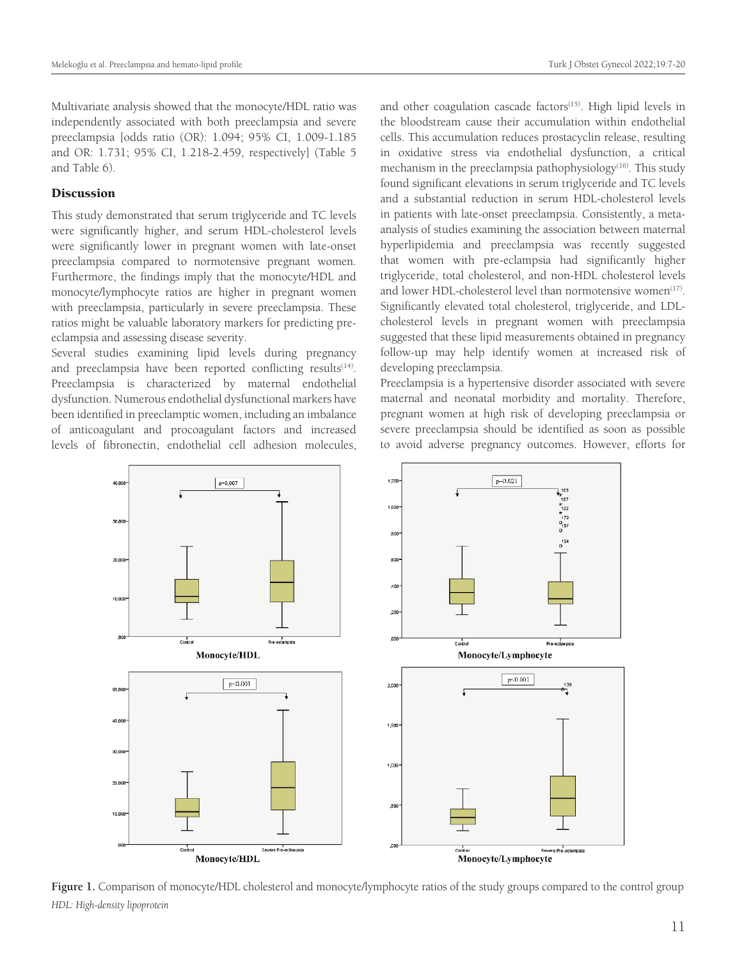Multivariate analysis showed that the monocyte/HDL ratio was independently associated with both preeclampsia and severe preeclampsia [odds ratio (OR): 1.094; 95% CI, 1.009-1.185 and OR: 1.731; 95% CI, 1.218-2.459, respectively] (Table 5 and Table 6).

## **Discussion**

This study demonstrated that serum triglyceride and TC levels were significantly higher, and serum HDL-cholesterol levels were significantly lower in pregnant women with late-onset preeclampsia compared to normotensive pregnant women. Furthermore, the findings imply that the monocyte/HDL and monocyte/lymphocyte ratios are higher in pregnant women with preeclampsia, particularly in severe preeclampsia. These ratios might be valuable laboratory markers for predicting preeclampsia and assessing disease severity.

Several studies examining lipid levels during pregnancy and preeclampsia have been reported conflicting results<sup>(14)</sup>. Preeclampsia is characterized by maternal endothelial dysfunction. Numerous endothelial dysfunctional markers have been identified in preeclamptic women, including an imbalance of anticoagulant and procoagulant factors and increased levels of fibronectin, endothelial cell adhesion molecules, and other coagulation cascade factors<sup>(15)</sup>. High lipid levels in the bloodstream cause their accumulation within endothelial cells. This accumulation reduces prostacyclin release, resulting in oxidative stress via endothelial dysfunction, a critical mechanism in the preeclampsia pathophysiology<sup>(16)</sup>. This study found significant elevations in serum triglyceride and TC levels and a substantial reduction in serum HDL-cholesterol levels in patients with late-onset preeclampsia. Consistently, a metaanalysis of studies examining the association between maternal hyperlipidemia and preeclampsia was recently suggested that women with pre-eclampsia had significantly higher triglyceride, total cholesterol, and non-HDL cholesterol levels and lower HDL-cholesterol level than normotensive women $(17)$ . Significantly elevated total cholesterol, triglyceride, and LDLcholesterol levels in pregnant women with preeclampsia suggested that these lipid measurements obtained in pregnancy follow-up may help identify women at increased risk of developing preeclampsia.

Preeclampsia is a hypertensive disorder associated with severe maternal and neonatal morbidity and mortality. Therefore, pregnant women at high risk of developing preeclampsia or severe preeclampsia should be identified as soon as possible to avoid adverse pregnancy outcomes. However, efforts for



**Figure 1.** Comparison of monocyte/HDL cholesterol and monocyte/lymphocyte ratios of the study groups compared to the control group *HDL: High-density lipoprotein*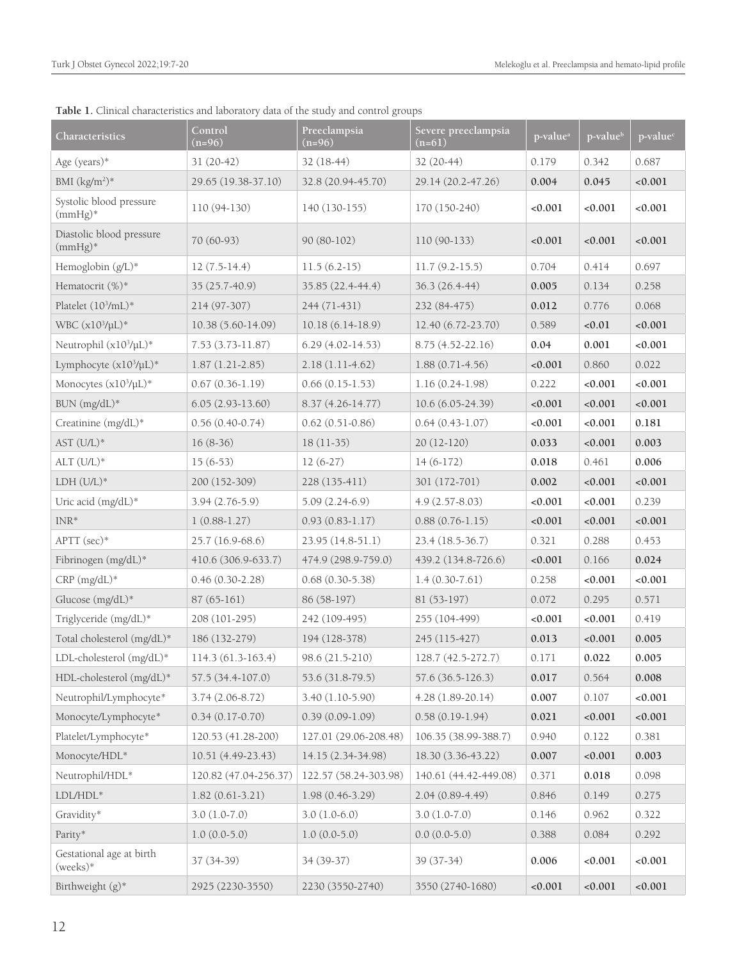| Characteristics                        | Control<br>$(n=96)$   | Preeclampsia<br>$(n=96)$ | Severe preeclampsia<br>$(n=61)$ | p-value <sup>a</sup> | p-value <sup>b</sup> | p-value <sup>c</sup> |
|----------------------------------------|-----------------------|--------------------------|---------------------------------|----------------------|----------------------|----------------------|
| Age (years)*                           | $31(20-42)$           | 32 (18-44)               | 32 (20-44)                      | 0.179                | 0.342                | 0.687                |
| BMI $(kg/m^2)^*$                       | 29.65 (19.38-37.10)   | 32.8 (20.94-45.70)       | 29.14 (20.2-47.26)              | 0.004                | 0.045                | < 0.001              |
| Systolic blood pressure<br>$(mmHg)$ *  | $110(94-130)$         | 140 (130-155)            | 170 (150-240)                   | < 0.001              | < 0.001              | < 0.001              |
| Diastolic blood pressure<br>$(mmHg)$ * | 70 (60-93)            | $90(80-102)$             | $110(90-133)$                   | < 0.001              | < 0.001              | < 0.001              |
| Hemoglobin (g/L)*                      | $12(7.5-14.4)$        | $11.5(6.2-15)$           | $11.7(9.2-15.5)$                | 0.704                | 0.414                | 0.697                |
| Hematocrit (%)*                        | 35 (25.7-40.9)        | 35.85 (22.4-44.4)        | 36.3 (26.4-44)                  | 0.005                | 0.134                | 0.258                |
| Platelet (10 <sup>3</sup> /mL)*        | 214 (97-307)          | 244 (71-431)             | 232 (84-475)                    | 0.012                | 0.776                | 0.068                |
| WBC (x10 <sup>3</sup> /µL)*            | 10.38 (5.60-14.09)    | $10.18(6.14-18.9)$       | 12.40 (6.72-23.70)              | 0.589                | < 0.01               | < 0.001              |
| Neutrophil (x103/µL)*                  | $7.53(3.73-11.87)$    | $6.29(4.02-14.53)$       | $8.75(4.52 - 22.16)$            | 0.04                 | 0.001                | < 0.001              |
| Lymphocyte (x10 <sup>3</sup> /µL)*     | $1.87(1.21-2.85)$     | $2.18(1.11-4.62)$        | $1.88(0.71-4.56)$               | < 0.001              | 0.860                | 0.022                |
| Monocytes $(x10^3/\mu L)^*$            | $0.67(0.36-1.19)$     | $0.66(0.15-1.53)$        | $1.16(0.24-1.98)$               | 0.222                | < 0.001              | < 0.001              |
| BUN (mg/dL)*                           | $6.05(2.93-13.60)$    | $8.37(4.26-14.77)$       | $10.6(6.05-24.39)$              | < 0.001              | < 0.001              | < 0.001              |
| Creatinine (mg/dL)*                    | $0.56(0.40-0.74)$     | $0.62(0.51-0.86)$        | $0.64(0.43-1.07)$               | < 0.001              | < 0.001              | 0.181                |
| $AST (U/L)*$                           | $16(8-36)$            | $18(11-35)$              | $20(12-120)$                    | 0.033                | < 0.001              | 0.003                |
| $ALT (U/L)*$                           | $15(6-53)$            | $12(6-27)$               | $14(6-172)$                     | 0.018                | 0.461                | 0.006                |
| $LDH (U/L)*$                           | 200 (152-309)         | 228 (135-411)            | 301 (172-701)                   | 0.002                | < 0.001              | < 0.001              |
| Uric acid (mg/dL)*                     | $3.94(2.76-5.9)$      | $5.09(2.24-6.9)$         | $4.9(2.57-8.03)$                | < 0.001              | < 0.001              | 0.239                |
| $INR*$                                 | $1(0.88-1.27)$        | $0.93(0.83 - 1.17)$      | $0.88(0.76-1.15)$               | < 0.001              | < 0.001              | < 0.001              |
| APTT (sec)*                            | $25.7(16.9-68.6)$     | $23.95(14.8-51.1)$       | $23.4(18.5-36.7)$               | 0.321                | 0.288                | 0.453                |
| Fibrinogen (mg/dL)*                    | 410.6 (306.9-633.7)   | 474.9 (298.9-759.0)      | 439.2 (134.8-726.6)             | < 0.001              | 0.166                | 0.024                |
| $CRP (mg/dL)*$                         | $0.46(0.30-2.28)$     | $0.68(0.30-5.38)$        | $1.4(0.30-7.61)$                | 0.258                | < 0.001              | ${<}0.001$           |
| Glucose (mg/dL)*                       | $87(65-161)$          | 86 (58-197)              | 81 (53-197)                     | 0.072                | 0.295                | 0.571                |
| Triglyceride (mg/dL)*                  | 208 (101-295)         | 242 (109-495)            | 255 (104-499)                   | < 0.001              | 0.001                | 0.419                |
| Total cholesterol (mg/dL)*             | 186 (132-279)         | 194 (128-378)            | 245 (115-427)                   | 0.013                | < 0.001              | 0.005                |
| LDL-cholesterol (mg/dL)*               | 114.3 (61.3-163.4)    | 98.6 (21.5-210)          | 128.7 (42.5-272.7)              | 0.171                | 0.022                | 0.005                |
| HDL-cholesterol (mg/dL)*               | 57.5 (34.4-107.0)     | 53.6 (31.8-79.5)         | 57.6 (36.5-126.3)               | 0.017                | 0.564                | 0.008                |
| Neutrophil/Lymphocyte*                 | $3.74(2.06-8.72)$     | $3.40(1.10-5.90)$        | $4.28(1.89-20.14)$              | 0.007                | 0.107                | < 0.001              |
| Monocyte/Lymphocyte*                   | $0.34(0.17-0.70)$     | $0.39(0.09-1.09)$        | $0.58(0.19-1.94)$               | 0.021                | < 0.001              | < 0.001              |
| Platelet/Lymphocyte*                   | 120.53 (41.28-200)    | 127.01 (29.06-208.48)    | 106.35 (38.99-388.7)            | 0.940                | 0.122                | 0.381                |
| Monocyte/HDL*                          | 10.51 (4.49-23.43)    | 14.15 (2.34-34.98)       | 18.30 (3.36-43.22)              | 0.007                | < 0.001              | 0.003                |
| Neutrophil/HDL*                        | 120.82 (47.04-256.37) | 122.57 (58.24-303.98)    | 140.61 (44.42-449.08)           | 0.371                | 0.018                | 0.098                |
| $LDL/HDL*$                             | $1.82(0.61-3.21)$     | 1.98 (0.46-3.29)         | $2.04(0.89-4.49)$               | 0.846                | 0.149                | 0.275                |
| Gravidity*                             | $3.0(1.0-7.0)$        | $3.0(1.0-6.0)$           | $3.0(1.0-7.0)$                  | 0.146                | 0.962                | 0.322                |
| Parity*                                | $1.0(0.0-5.0)$        | $1.0(0.0-5.0)$           | $0.0(0.0-5.0)$                  | 0.388                | 0.084                | 0.292                |
| Gestational age at birth<br>(weeks)*   | 37 (34-39)            | 34 (39-37)               | 39 (37-34)                      | 0.006                | 0.001                | < 0.001              |
| Birthweight (g)*                       | 2925 (2230-3550)      | 2230 (3550-2740)         | 3550 (2740-1680)                | < 0.001              | < 0.001              | ${<}0.001$           |

**Table 1.** Clinical characteristics and laboratory data of the study and control groups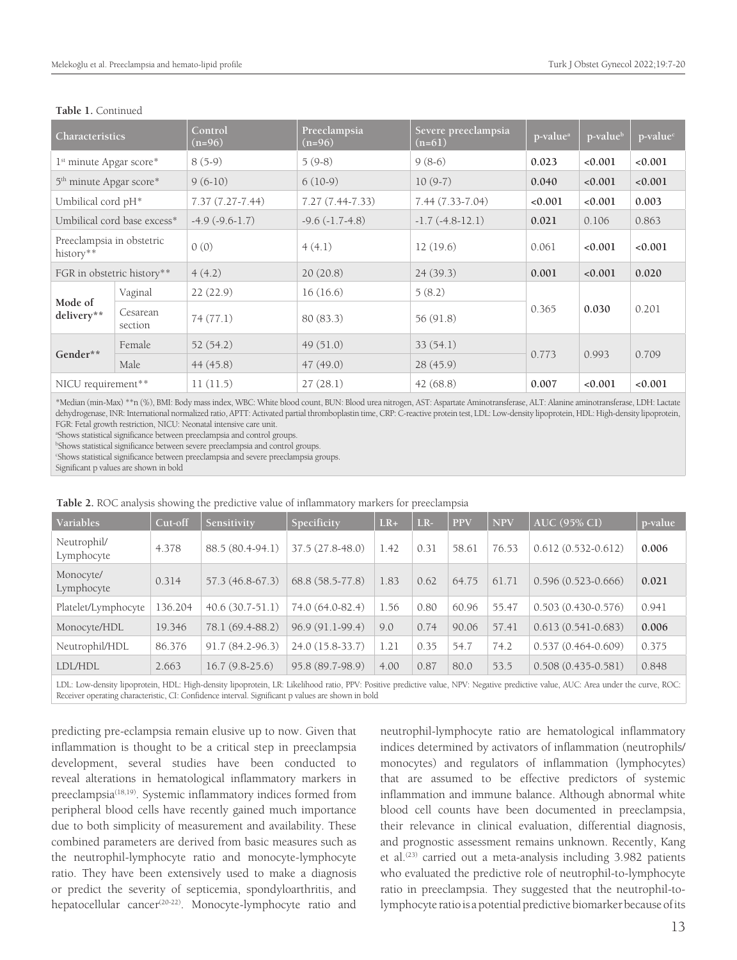| Characteristics                        |                             | Control<br>$(n=96)$ | Preeclampsia<br>$(n=96)$ | Severe preeclampsia<br>$(n=61)$ | p-value <sup>a</sup> | p-value <sup>b</sup> | p-value <sup>c</sup> |
|----------------------------------------|-----------------------------|---------------------|--------------------------|---------------------------------|----------------------|----------------------|----------------------|
| 1 <sup>st</sup> minute Apgar score*    |                             | $8(5-9)$            | $5(9-8)$                 | $9(8-6)$                        | 0.023                | < 0.001              | < 0.001              |
| 5 <sup>th</sup> minute Apgar score*    |                             | $9(6-10)$           | $6(10-9)$                | $10(9-7)$                       | 0.040                | < 0.001              | < 0.001              |
| Umbilical cord pH <sup>*</sup>         |                             | $7.37(7.27 - 7.44)$ | $7.27(7.44 - 7.33)$      | 7.44 (7.33-7.04)                | 0.001                | 0.001                | 0.003                |
|                                        | Umbilical cord base excess* | $-4.9(-9.6-1.7)$    | $-9.6(-1.7-4.8)$         | $-1.7(-4.8-12.1)$               | 0.021                | 0.106                | 0.863                |
| Preeclampsia in obstetric<br>history** |                             | 0(0)                | 4(4.1)                   | 12(19.6)                        | 0.061                | < 0.001              | < 0.001              |
| FGR in obstetric history**             |                             | 4(4.2)              | 20(20.8)                 | 24(39.3)                        | 0.001                | 0.001                | 0.020                |
|                                        | Vaginal                     | 22(22.9)            | 16(16.6)                 | 5(8.2)                          |                      |                      |                      |
| Mode of<br>delivery**                  | Cesarean<br>section         | 74(77.1)            | 80 (83.3)                | 56 (91.8)                       | 0.365                | 0.030                | 0.201                |
|                                        | Female                      | 52(54.2)            | 49(51.0)                 | 33(54.1)                        |                      |                      |                      |
| Gender**                               | Male                        | 44(45.8)            | 47(49.0)                 | 28(45.9)                        | 0.773                | 0.993                | 0.709                |
| NICU requirement**                     |                             | 11(11.5)            | 27(28.1)                 | 42 (68.8)                       | 0.007                | < 0.001              | < 0.001              |

#### **Table 1.** Continued

\*Median (min-Max) \*\*n (%), BMI: Body mass index, WBC: White blood count, BUN: Blood urea nitrogen, AST: Aspartate Aminotransferase, ALT: Alanine aminotransferase, LDH: Lactate dehydrogenase, INR: International normalized ratio, APTT: Activated partial thromboplastin time, CRP: C-reactive protein test, LDL: Low-density lipoprotein, HDL: High-density lipoprotein, FGR: Fetal growth restriction, NICU: Neonatal intensive care unit.

a Shows statistical significance between preeclampsia and control groups.

b Shows statistical significance between severe preeclampsia and control groups.

c Shows statistical significance between preeclampsia and severe preeclampsia groups.

Significant p values are shown in bold

| Variables                 | Cut-off | Sensitivity       | Specificity      | $LR+$ | $LR-$ | <b>PPV</b> | <b>NPV</b> | AUC (95% CI)           | p-value |
|---------------------------|---------|-------------------|------------------|-------|-------|------------|------------|------------------------|---------|
| Neutrophil/<br>Lymphocyte | 4.378   | 88.5 (80.4-94.1)  | 37.5 (27.8-48.0) | 1.42  | 0.31  | 58.61      | 76.53      | $0.612(0.532 - 0.612)$ | 0.006   |
| Monocyte/<br>Lymphocyte   | 0.314   | 57.3 (46.8-67.3)  | 68.8 (58.5-77.8) | 1.83  | 0.62  | 64.75      | 61.71      | $0.596(0.523 - 0.666)$ | 0.021   |
| Platelet/Lymphocyte       | 136.204 | $40.6(30.7-51.1)$ | 74.0 (64.0-82.4) | 1.56  | 0.80  | 60.96      | 55.47      | $0.503(0.430 - 0.576)$ | 0.941   |
| Monocyte/HDL              | 19.346  | 78.1 (69.4-88.2)  | 96.9 (91.1-99.4) | 9.0   | 0.74  | 90.06      | 57.41      | $0.613(0.541-0.683)$   | 0.006   |
| Neutrophil/HDL            | 86.376  | $91.7(84.2-96.3)$ | 24.0 (15.8-33.7) | 1.21  | 0.35  | 54.7       | 74.2       | $0.537(0.464 - 0.609)$ | 0.375   |
| LDL/HDL                   | 2.663   | $16.7(9.8-25.6)$  | 95.8 (89.7-98.9) | 4.00  | 0.87  | 80.0       | 53.5       | $0.508(0.435 - 0.581)$ | 0.848   |

#### **Table 2.** ROC analysis showing the predictive value of inflammatory markers for preeclampsia

LDL: Low-density lipoprotein, HDL: High-density lipoprotein, LR: Likelihood ratio, PPV: Positive predictive value, NPV: Negative predictive value, AUC: Area under the curve, ROC: Receiver operating characteristic, CI: Confidence interval. Significant p values are shown in bold

predicting pre-eclampsia remain elusive up to now. Given that inflammation is thought to be a critical step in preeclampsia development, several studies have been conducted to reveal alterations in hematological inflammatory markers in preeclampsia<sup>(18,19)</sup>. Systemic inflammatory indices formed from peripheral blood cells have recently gained much importance due to both simplicity of measurement and availability. These combined parameters are derived from basic measures such as the neutrophil-lymphocyte ratio and monocyte-lymphocyte ratio. They have been extensively used to make a diagnosis or predict the severity of septicemia, spondyloarthritis, and hepatocellular cancer<sup>(20-22)</sup>. Monocyte-lymphocyte ratio and

neutrophil-lymphocyte ratio are hematological inflammatory indices determined by activators of inflammation (neutrophils/ monocytes) and regulators of inflammation (lymphocytes) that are assumed to be effective predictors of systemic inflammation and immune balance. Although abnormal white blood cell counts have been documented in preeclampsia, their relevance in clinical evaluation, differential diagnosis, and prognostic assessment remains unknown. Recently, Kang et al.<sup>(23)</sup> carried out a meta-analysis including 3.982 patients who evaluated the predictive role of neutrophil-to-lymphocyte ratio in preeclampsia. They suggested that the neutrophil-tolymphocyte ratio is a potential predictive biomarker because of its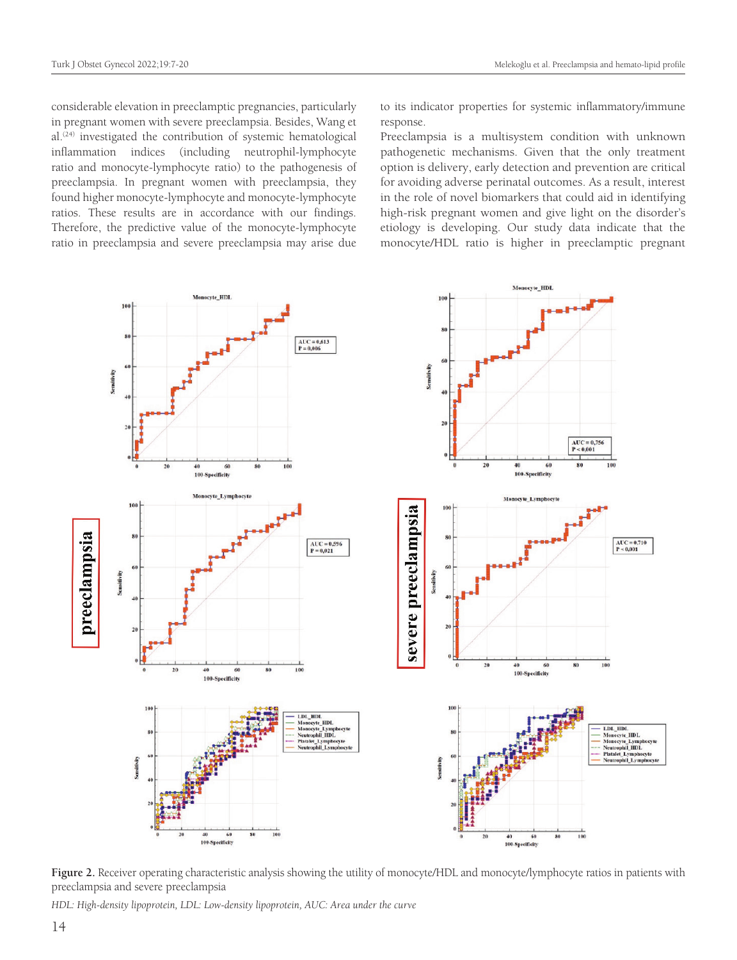considerable elevation in preeclamptic pregnancies, particularly in pregnant women with severe preeclampsia. Besides, Wang et al.(24) investigated the contribution of systemic hematological inflammation indices (including neutrophil-lymphocyte ratio and monocyte-lymphocyte ratio) to the pathogenesis of preeclampsia. In pregnant women with preeclampsia, they found higher monocyte-lymphocyte and monocyte-lymphocyte ratios. These results are in accordance with our findings. Therefore, the predictive value of the monocyte-lymphocyte ratio in preeclampsia and severe preeclampsia may arise due

to its indicator properties for systemic inflammatory/immune response.

Preeclampsia is a multisystem condition with unknown pathogenetic mechanisms. Given that the only treatment option is delivery, early detection and prevention are critical for avoiding adverse perinatal outcomes. As a result, interest in the role of novel biomarkers that could aid in identifying high-risk pregnant women and give light on the disorder's etiology is developing. Our study data indicate that the monocyte/HDL ratio is higher in preeclamptic pregnant



**Figure 2.** Receiver operating characteristic analysis showing the utility of monocyte/HDL and monocyte/lymphocyte ratios in patients with preeclampsia and severe preeclampsia

*HDL: High-density lipoprotein, LDL: Low-density lipoprotein, AUC: Area under the curve*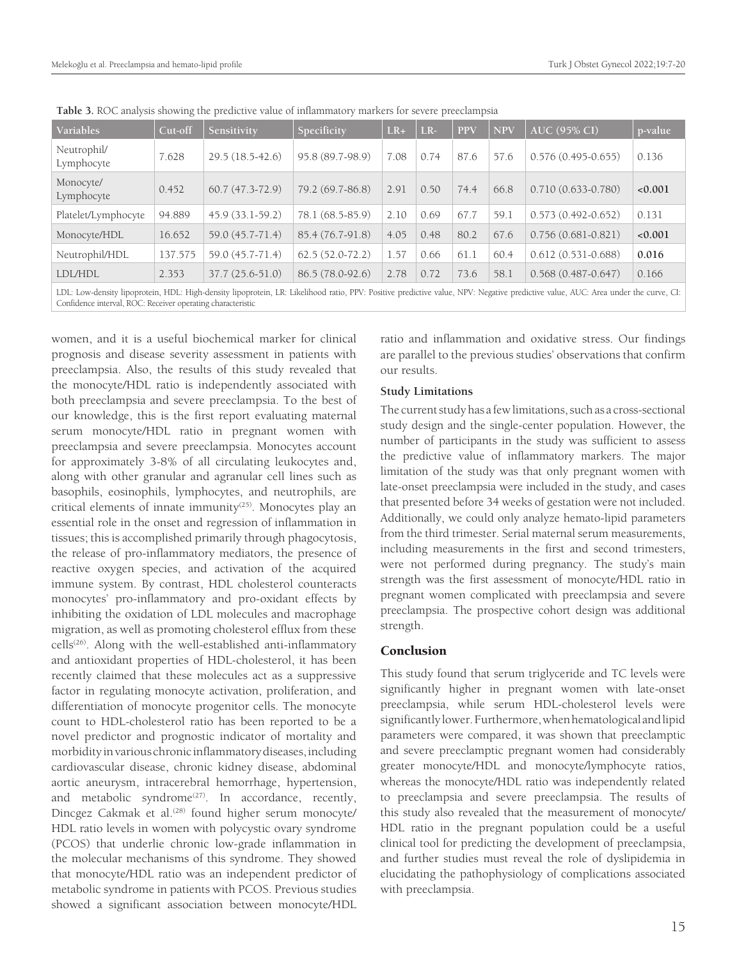| Variables                 | Cut-off | Sensitivity                                                                                                                                                                                                                                                                                                                               | Specificity       | $LR+$ | $ LR-$ | <b>PPV</b> | <b>NPV</b> | <b>AUC (95% CI)</b>                                                                                                                                 | p-value |
|---------------------------|---------|-------------------------------------------------------------------------------------------------------------------------------------------------------------------------------------------------------------------------------------------------------------------------------------------------------------------------------------------|-------------------|-------|--------|------------|------------|-----------------------------------------------------------------------------------------------------------------------------------------------------|---------|
| Neutrophil/<br>Lymphocyte | 7.628   | 29.5 (18.5-42.6)                                                                                                                                                                                                                                                                                                                          | 95.8 (89.7-98.9)  | 7.08  | 0.74   | 87.6       | 57.6       | $0.576(0.495 - 0.655)$                                                                                                                              | 0.136   |
| Monocyte/<br>Lymphocyte   | 0.452   | $60.7(47.3-72.9)$                                                                                                                                                                                                                                                                                                                         | 79.2 (69.7-86.8)  | 2.91  | 0.50   | 74.4       | 66.8       | $0.710(0.633 - 0.780)$                                                                                                                              | < 0.001 |
| Platelet/Lymphocyte       | 94.889  | 45.9 (33.1-59.2)                                                                                                                                                                                                                                                                                                                          | 78.1 (68.5-85.9)  | 2.10  | 0.69   | 67.7       | 59.1       | $0.573(0.492 - 0.652)$                                                                                                                              | 0.131   |
| Monocyte/HDL              | 16.652  | 59.0 (45.7-71.4)                                                                                                                                                                                                                                                                                                                          | 85.4 (76.7-91.8)  | 4.05  | 0.48   | 80.2       | 67.6       | $0.756(0.681 - 0.821)$                                                                                                                              | < 0.001 |
| Neutrophil/HDL            | 137.575 | 59.0 (45.7-71.4)                                                                                                                                                                                                                                                                                                                          | $62.5(52.0-72.2)$ | 1.57  | 0.66   | 61.1       | 60.4       | $0.612(0.531 - 0.688)$                                                                                                                              | 0.016   |
| LDL/HDL                   | 2.353   | $37.7(25.6-51.0)$                                                                                                                                                                                                                                                                                                                         | 86.5 (78.0-92.6)  | 2.78  | 0.72   | 73.6       | 58.1       | $0.568(0.487 - 0.647)$                                                                                                                              | 0.166   |
|                           |         | $\overline{1}$ , and the state $\overline{1}$ , and $\overline{1}$ , and $\overline{1}$ , and $\overline{1}$ , $\overline{1}$ , $\overline{1}$ , $\overline{1}$ , $\overline{1}$ , $\overline{1}$ , $\overline{1}$ , $\overline{1}$ , $\overline{1}$ , $\overline{1}$ , $\overline{1}$ , $\overline{1}$ , $\overline{1}$ , $\overline{1}$ |                   |       |        |            |            | $\mathbf{1}$ , $\mathbf{1}$ , $\mathbf{1}$ , $\mathbf{1}$ , $\mathbf{1}$ , $\mathbf{1}$ , $\mathbf{1}$ , $\mathbf{1}$ , $\mathbf{1}$ , $\mathbf{1}$ |         |

**Table 3.** ROC analysis showing the predictive value of inflammatory markers for severe preeclampsia

LDL: Low-density lipoprotein, HDL: High-density lipoprotein, LR: Likelihood ratio, PPV: Positive predictive value, NPV: Negative predictive value, AUC: Area under the curve, CI: Confidence interval, ROC: Receiver operating characteristic

women, and it is a useful biochemical marker for clinical prognosis and disease severity assessment in patients with preeclampsia. Also, the results of this study revealed that the monocyte/HDL ratio is independently associated with both preeclampsia and severe preeclampsia. To the best of our knowledge, this is the first report evaluating maternal serum monocyte/HDL ratio in pregnant women with preeclampsia and severe preeclampsia. Monocytes account for approximately 3-8% of all circulating leukocytes and, along with other granular and agranular cell lines such as basophils, eosinophils, lymphocytes, and neutrophils, are critical elements of innate immunity<sup>(25)</sup>. Monocytes play an essential role in the onset and regression of inflammation in tissues; this is accomplished primarily through phagocytosis, the release of pro-inflammatory mediators, the presence of reactive oxygen species, and activation of the acquired immune system. By contrast, HDL cholesterol counteracts monocytes' pro-inflammatory and pro-oxidant effects by inhibiting the oxidation of LDL molecules and macrophage migration, as well as promoting cholesterol efflux from these cells<sup>(26)</sup>. Along with the well-established anti-inflammatory and antioxidant properties of HDL-cholesterol, it has been recently claimed that these molecules act as a suppressive factor in regulating monocyte activation, proliferation, and differentiation of monocyte progenitor cells. The monocyte count to HDL-cholesterol ratio has been reported to be a novel predictor and prognostic indicator of mortality and morbidity in various chronic inflammatory diseases, including cardiovascular disease, chronic kidney disease, abdominal aortic aneurysm, intracerebral hemorrhage, hypertension, and metabolic syndrome<sup> $(27)$ </sup>. In accordance, recently, Dincgez Cakmak et al.<sup>(28)</sup> found higher serum monocyte/ HDL ratio levels in women with polycystic ovary syndrome (PCOS) that underlie chronic low-grade inflammation in the molecular mechanisms of this syndrome. They showed that monocyte/HDL ratio was an independent predictor of metabolic syndrome in patients with PCOS. Previous studies showed a significant association between monocyte/HDL ratio and inflammation and oxidative stress. Our findings are parallel to the previous studies' observations that confirm our results.

## **Study Limitations**

The current study has a few limitations, such as a cross-sectional study design and the single-center population. However, the number of participants in the study was sufficient to assess the predictive value of inflammatory markers. The major limitation of the study was that only pregnant women with late-onset preeclampsia were included in the study, and cases that presented before 34 weeks of gestation were not included. Additionally, we could only analyze hemato-lipid parameters from the third trimester. Serial maternal serum measurements, including measurements in the first and second trimesters, were not performed during pregnancy. The study's main strength was the first assessment of monocyte/HDL ratio in pregnant women complicated with preeclampsia and severe preeclampsia. The prospective cohort design was additional strength.

# Conclusion

This study found that serum triglyceride and TC levels were significantly higher in pregnant women with late-onset preeclampsia, while serum HDL-cholesterol levels were significantly lower. Furthermore, when hematological and lipid parameters were compared, it was shown that preeclamptic and severe preeclamptic pregnant women had considerably greater monocyte/HDL and monocyte/lymphocyte ratios, whereas the monocyte/HDL ratio was independently related to preeclampsia and severe preeclampsia. The results of this study also revealed that the measurement of monocyte/ HDL ratio in the pregnant population could be a useful clinical tool for predicting the development of preeclampsia, and further studies must reveal the role of dyslipidemia in elucidating the pathophysiology of complications associated with preeclampsia.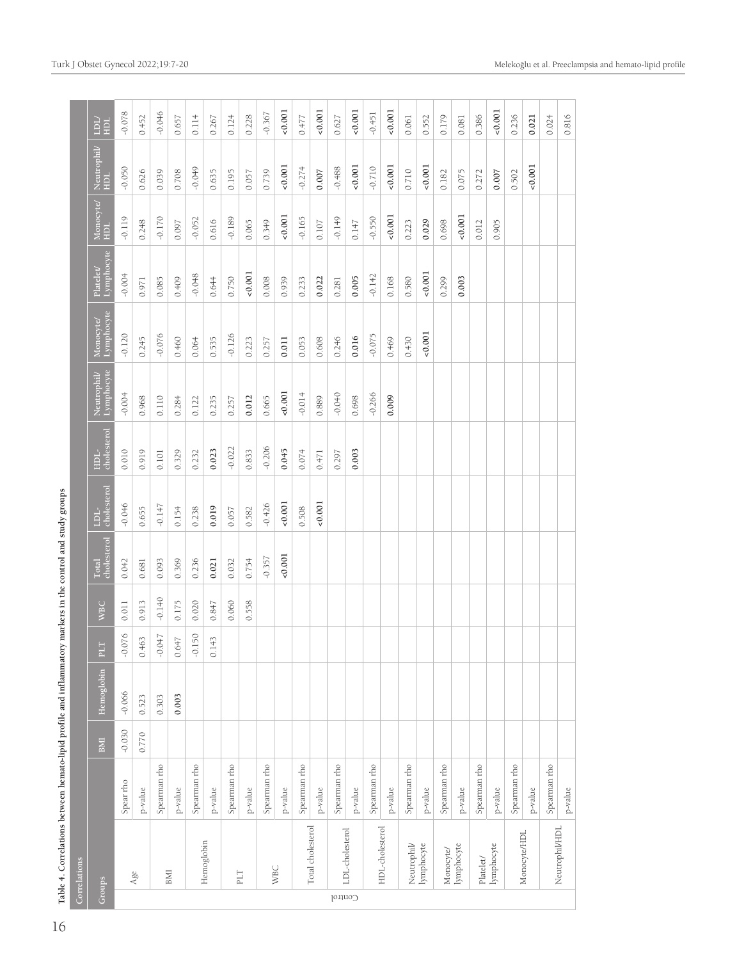| l<br>١                     |
|----------------------------|
| ł                          |
|                            |
|                            |
|                            |
|                            |
| l                          |
| l<br>ï                     |
|                            |
|                            |
|                            |
| l<br>l                     |
|                            |
|                            |
| ś                          |
|                            |
| l<br>I                     |
|                            |
| ı<br>ć<br>į<br>ļ<br>ĺ<br>l |

|              |                   | Table 4. Correlations between hemato-lipid profile and inflammatory markers in the control and study groups |            |            |                         |            |                      |                            |                     |             |                        |                        |                  |                                |             |
|--------------|-------------------|-------------------------------------------------------------------------------------------------------------|------------|------------|-------------------------|------------|----------------------|----------------------------|---------------------|-------------|------------------------|------------------------|------------------|--------------------------------|-------------|
| Correlations |                   |                                                                                                             |            |            |                         |            |                      |                            |                     |             |                        |                        |                  |                                |             |
| Groups       |                   |                                                                                                             | <b>BMI</b> | Hemoglobin | $F_{\rm T}$             | <b>WBC</b> | Total<br>cholesterol | cholesterol<br><b>TOP-</b> | cholesterol<br>HDL- | Neutrophil/ | Lymphocyte<br>Monocyte | Lymphocyte<br>Platelet | Monocyte/<br>HDL | Neutrophil <sup>/</sup><br>HDL | Лď<br>$\Xi$ |
|              |                   | Spear rho                                                                                                   | $-0.030$   | $-0.066$   | $\frac{1}{6}$<br>$-0.0$ | 0.011      | 0.042                | $-0.046$                   | 0.010               | $-0.004$    | $-0.120$               | $-0.004$               | $-0.119$         | $-0.050$                       | $-0.078$    |
|              | Age               | p-value                                                                                                     | 0.770      | 0.523      | 0.463                   | 0.913      | 0.681                | 0.655                      | 0.919               | 0.968       | 0.245                  | 0.971                  | 0.248            | 0.626                          | 0.452       |
|              |                   | Spearman rho                                                                                                |            | 0.303      | $-0.047$                | $-0.140$   | 0.093                | $-0.147$                   | 0.101               | 0.110       | $-0.076$               | 0.085                  | $-0.170$         | 0.039                          | $-0.046$    |
|              | BMI               | p-value                                                                                                     |            | 0.003      | 0.647                   | 0.175      | 0.369                | 0.154                      | 0.329               | 0.284       | 0.460                  | 0.409                  | 0.097            | 0.708                          | 0.657       |
|              |                   | Spearman rho                                                                                                |            |            | 50<br>$-0.1$            | 0.020      | 0.236                | 0.238                      | 0.232               | 0.122       | 0.064                  | $-0.048$               | $-0.052$         | $-0.0 + 9$                     | 0.114       |
|              | Hemoglobin        | $p$ -value                                                                                                  |            |            | 0.143                   | 0.847      | 0.021                | 0.019                      | 0.023               | 0.235       | 0.535                  | 0.644                  | 0.616            | 0.635                          | 0.267       |
|              |                   | Spearman rho                                                                                                |            |            |                         | 0.060      | 0.032                | 0.057                      | $-0.022$            | 0.257       | $-0.126$               | 0.750                  | $-0.189$         | 0.195                          | 0.124       |
|              | $\mathsf{PLT}$    | $p$ -value                                                                                                  |            |            |                         | 0.558      | 0.754                | 0.582                      | 0.833               | 0.012       | 0.223                  | $-0.001$               | 0.065            | 0.057                          | 0.228       |
|              |                   | Spearman rho                                                                                                |            |            |                         |            | $-0.357$             | $-0.426$                   | $-0.206$            | 0.665       | 0.257                  | 0.008                  | 0.349            | 0.739                          | $-0.367$    |
|              | <b>WBC</b>        | p-value                                                                                                     |            |            |                         |            | 0.001                | 0.001                      | 0.045               | $-0.001$    | 0.011                  | 0.939                  | 0.001            | 0.001                          | 0.001       |
|              |                   | Spearman rho                                                                                                |            |            |                         |            |                      | 0.508                      | 0.074               | $-0.014$    | 0.053                  | 0.233                  | $-0.165$         | $-0.274$                       | 0.477       |
|              | Total cholesterol | p-value                                                                                                     |            |            |                         |            |                      | 0.001                      | 0.471               | 0.889       | 0.608                  | 0.022                  | 0.107            | 0.007                          | 0.001       |
| Control      |                   | Spearman rho                                                                                                |            |            |                         |            |                      |                            | 0.297               | $-0.040$    | 0.246                  | 0.281                  | $-0.149$         | $-0.488$                       | 0.627       |
|              | LDL-cholesterol   | p-value                                                                                                     |            |            |                         |            |                      |                            | 0.003               | 0.698       | 0.016                  | 0.005                  | 0.147            | 0.001                          | 0.001       |
|              |                   | Spearman rho                                                                                                |            |            |                         |            |                      |                            |                     | $-0.266$    | $-0.075$               | $-0.142$               | $-0.550$         | $-0.710$                       | $-0.451$    |
|              | HDL-cholesterol   | p-value                                                                                                     |            |            |                         |            |                      |                            |                     | 0.009       | 0.469                  | 0.168                  | 0.001            | 0.001                          | 0.001       |
|              | Neutrophil        | Spearman rho                                                                                                |            |            |                         |            |                      |                            |                     |             | 0.430                  | 0.580                  | 0.223            | 0.710                          | 0.061       |
|              | lymphocyte        | p-value                                                                                                     |            |            |                         |            |                      |                            |                     |             | 0.001                  | $-0.001$               | 0.029            | $-0.001$                       | 0.552       |
|              | Monocyte/         | Spearman rho                                                                                                |            |            |                         |            |                      |                            |                     |             |                        | 0.299                  | 0.698            | 0.182                          | 0.179       |
|              | lymphocyte        | p-value                                                                                                     |            |            |                         |            |                      |                            |                     |             |                        | 0.003                  | 0.001            | 0.075                          | 0.081       |
|              | Platelet/         | Spearman rho                                                                                                |            |            |                         |            |                      |                            |                     |             |                        |                        | 0.012            | 0.272                          | 0.386       |
|              | lymphocyte        | p-value                                                                                                     |            |            |                         |            |                      |                            |                     |             |                        |                        | 0.905            | 0.007                          | $-0.001$    |
|              |                   | Spearman rho                                                                                                |            |            |                         |            |                      |                            |                     |             |                        |                        |                  | 0.502                          | 0.236       |
|              | Monocyte/HDL      | p-value                                                                                                     |            |            |                         |            |                      |                            |                     |             |                        |                        |                  | $-0.001$                       | 0.021       |
|              |                   | Spearman rho                                                                                                |            |            |                         |            |                      |                            |                     |             |                        |                        |                  |                                | 0.024       |
|              | Neutrophil/HDL    | p-value                                                                                                     |            |            |                         |            |                      |                            |                     |             |                        |                        |                  |                                | 0.816       |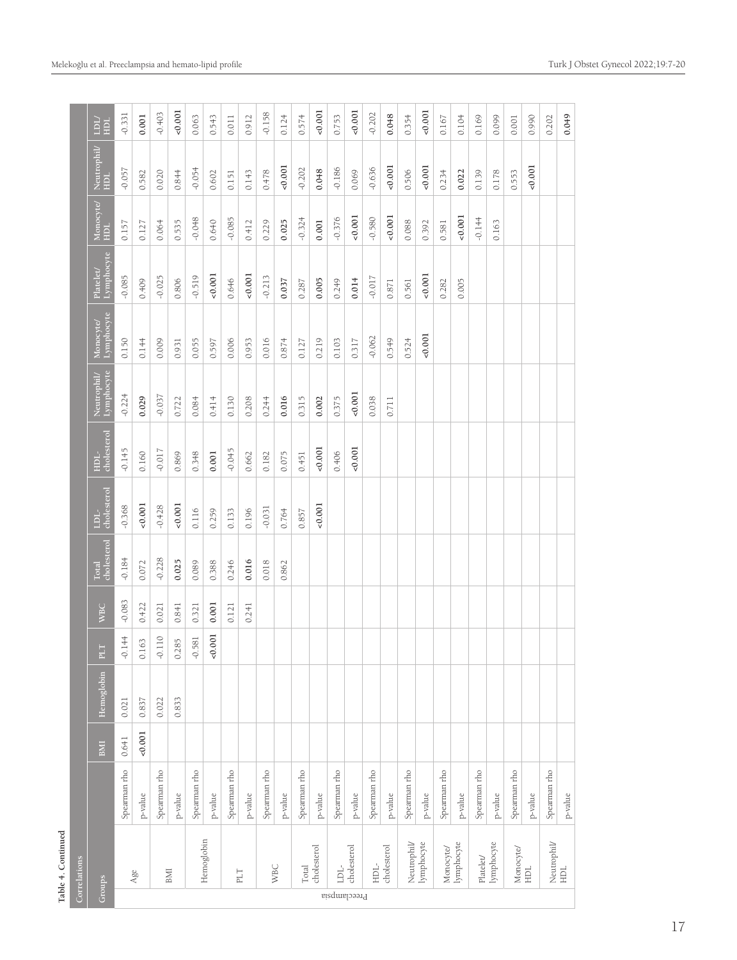| ۰ |  |
|---|--|
| ٦ |  |
|   |  |
|   |  |

|              | Table 4. Continued                                                      |              |       |            |                             |            |                               |                     |                     |             |                         |                        |                                                              |                    |            |
|--------------|-------------------------------------------------------------------------|--------------|-------|------------|-----------------------------|------------|-------------------------------|---------------------|---------------------|-------------|-------------------------|------------------------|--------------------------------------------------------------|--------------------|------------|
|              | Correlations                                                            |              |       |            |                             |            |                               |                     |                     |             |                         |                        |                                                              |                    |            |
| Groups       |                                                                         |              | BMI   | Hemoglobin | PLT                         | <b>WBC</b> | and a<br>cholesterol<br>Total | cholesterol<br>TDF- | cholesterol<br>HDL- | Neutrophil/ | Lymphocyte<br>Monocyte/ | Lymphocyte<br>Platelet | $\begin{array}{ l} \text{Monocyte} \\\text{HDL} \end{array}$ | Neutrophil/<br>HDL | /TICT<br>E |
|              |                                                                         | Spearman rho | 0.641 | 0.021      | 144<br>$\overrightarrow{Q}$ | $-0.083$   | $-0.184$                      | $-0.368$            | $-0.145$            | $-0.224$    | 0.150                   | $-0.085$               | 0.157                                                        | $-0.057$           | $-0.331$   |
|              | $_{\rm Age}$                                                            | p-value      | 0.001 | 0.837      | 63<br>$\overline{0}$        | 0.422      | 0.072                         | 0.001               | 0.160               | 0.029       | 0.144                   | 0.409                  | 0.127                                                        | 0.582              | 0.001      |
|              |                                                                         | Spearman rho |       | 0.022      | $110$<br>$\bigcirc$         | 0.021      | $-0.228$                      | $-0.428$            | $-0.017$            | $-0.037$    | 0.009                   | $-0.025$               | 0.064                                                        | 0.020              | $-0.403$   |
|              | BMI                                                                     | p-value      |       | 0.833      | 85<br>$\overline{0.2}$      | 0.841      | 0.025                         | 0.001               | 0.869               | 0.722       | 0.931                   | 0.806                  | 0.535                                                        | 0.844              | 0.001      |
|              |                                                                         | Spearman rho |       |            | 581<br>$\ddot{\sigma}$      | 0.321      | 0.089                         | 0.116               | 0.348               | 0.084       | 0.055                   | $-0.519$               | $-0.048$                                                     | $-0.054$           | 0.063      |
|              | Hemoglobin                                                              | p-value      |       |            | 001<br>$\ddot{\mathrm{o}}$  | 0.001      | 0.388                         | 0.259               | 0.001               | 0.414       | 0.597                   | 0.001                  | 0.640                                                        | 0.602              | 0.543      |
|              |                                                                         | Spearman rho |       |            |                             | 0.121      | 0.246                         | 0.133               | $-0.045$            | 0.130       | 0.006                   | 0.646                  | $-0.085$                                                     | 0.151              | 0.011      |
|              | PLT                                                                     | $p$ -value   |       |            |                             | 0.241      | 0.016                         | 0.196               | 0.662               | 0.208       | 0.953                   | 0.001                  | 0.412                                                        | 0.143              | 0.912      |
|              |                                                                         | Spearman rho |       |            |                             |            | 0.018                         | $-0.031$            | 0.182               | 0.244       | 0.016                   | $-0.213$               | 0.229                                                        | 0.478              | $-0.158$   |
|              | <b>WBC</b>                                                              | p-value      |       |            |                             |            | 0.862                         | 0.764               | 0.075               | 0.016       | 0.874                   | 0.037                  | 0.025                                                        | 0.001              | 0.124      |
|              | Total                                                                   | Spearman rho |       |            |                             |            |                               | 0.857               | 0.451               | 0.315       | 0.127                   | 0.287                  | $-0.324$                                                     | $-0.202$           | 0.574      |
|              | cholesterol                                                             | $p$ -value   |       |            |                             |            |                               | 0.001               | 0.001               | 0.002       | 0.219                   | 0.005                  | 0.001                                                        | 0.048              | 0.001      |
| Preeclampsia | $\Box$                                                                  | Spearman rho |       |            |                             |            |                               |                     | 0.406               | 0.375       | 0.103                   | 0.249                  | $-0.376$                                                     | $-0.186$           | 0.753      |
|              | cholesterol                                                             | p-value      |       |            |                             |            |                               |                     | 0.001               | $-0.001$    | 0.317                   | 0.014                  | 0.001                                                        | 0.069              | 0.001      |
|              | HDL-                                                                    | Spearman rho |       |            |                             |            |                               |                     |                     | 0.038       | $-0.062$                | $-0.017$               | $-0.580$                                                     | $-0.636$           | $-0.202$   |
|              | cholesterol                                                             | p-value      |       |            |                             |            |                               |                     |                     | 0.711       | 0.549                   | 0.871                  | 0.001                                                        | 0.001              | 0.048      |
|              | Neutrophil                                                              | Spearman rho |       |            |                             |            |                               |                     |                     |             | 0.524                   | 0.561                  | 0.088                                                        | 0.506              | 0.354      |
|              | lymphocyte                                                              | $p$ -value   |       |            |                             |            |                               |                     |                     |             | 0.001                   | 0.001                  | 0.392                                                        | 0.001              | 0.001      |
|              |                                                                         | Spearman rho |       |            |                             |            |                               |                     |                     |             |                         | 0.282                  | 0.581                                                        | 0.234              | 0.167      |
|              | $\begin{array}{ll} \text{Monovte} & \\ \text{lymphocyte} & \end{array}$ | p-value      |       |            |                             |            |                               |                     |                     |             |                         | 0.005                  | 0.001                                                        | 0.022              | 0.104      |
|              | ${\it Platelet}$                                                        | Spearman rho |       |            |                             |            |                               |                     |                     |             |                         |                        | $-0.144$                                                     | 0.139              | 0.169      |
|              | lymphocyte                                                              | p-value      |       |            |                             |            |                               |                     |                     |             |                         |                        | 0.163                                                        | 0.178              | 0.099      |
|              | Monocyte/<br>HDL                                                        | Spearman rho |       |            |                             |            |                               |                     |                     |             |                         |                        |                                                              | 0.553              | 0.001      |
|              |                                                                         | p-value      |       |            |                             |            |                               |                     |                     |             |                         |                        |                                                              | 0.001              | 0.990      |
|              | Neutrophil/<br>HDL                                                      | Spearman rho |       |            |                             |            |                               |                     |                     |             |                         |                        |                                                              |                    | 0.202      |
|              |                                                                         | $p$ -value   |       |            |                             |            |                               |                     |                     |             |                         |                        |                                                              |                    | 0.049      |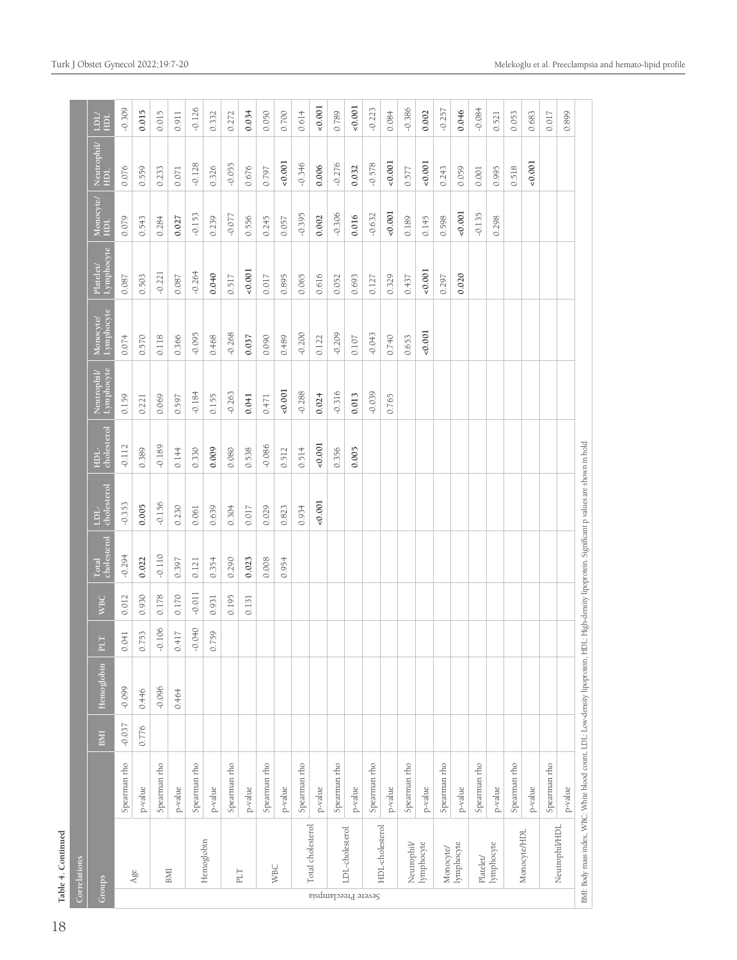| muor           | $\overline{a}$ |
|----------------|----------------|
|                |                |
| Ē              |                |
| Ç              | J              |
| 4              |                |
| $\overline{c}$ |                |
| ГaЫ            |                |
|                |                |

18

|                     | Table 4. Continued                                                                                                                                |              |          |            |                 |            |                             |                                |                     |                          |                        |                         |                   |                  |                     |
|---------------------|---------------------------------------------------------------------------------------------------------------------------------------------------|--------------|----------|------------|-----------------|------------|-----------------------------|--------------------------------|---------------------|--------------------------|------------------------|-------------------------|-------------------|------------------|---------------------|
|                     | Correlations                                                                                                                                      |              |          |            |                 |            |                             |                                |                     |                          |                        |                         |                   |                  |                     |
| Groups              |                                                                                                                                                   |              | BMI      | Hemoglobin | PLT             | <b>WBC</b> | cholesterol<br><b>Total</b> | cholesterol<br>FUT <sub></sub> | cholesterol<br>HDL- | Lymphocyte<br>Neutrophil | Lymphocyte<br>Monocyte | Lymphocyte<br>Platelet/ | Monocyte<br>$\Xi$ | Neutrophil/<br>E | <b>TDT</b><br>$\Xi$ |
|                     |                                                                                                                                                   | Spearman rho | $-0.037$ | $-0.099$   | 041<br>$\circ$  | 0.012      | $-0.294$                    | $-0.353$                       | $-0.112$            | 0.159                    | 0.074                  | 0.087                   | 0.079             | 0.076            | $-0.309$            |
|                     | Age                                                                                                                                               | p-value      | 0.776    | 0.446      | 0.753           | 0.930      | 0.022                       | 0.005                          | 0.389               | 0.221                    | 0.570                  | 0.503                   | 0.543             | 0.559            | 0.015               |
|                     |                                                                                                                                                   | Spearman rho |          | $-0.096$   | $-0.106$        | 0.178      | $-0.110$                    | $-0.156$                       | $-0.189$            | 0.069                    | 0.118                  | $-0.221$                | 0.284             | 0.233            | 0.015               |
|                     | BMI                                                                                                                                               | p-value      |          | 0.464      | 0.417           | 0.170      | 0.397                       | 0.230                          | 0.144               | 0.597                    | 0.366                  | 0.087                   | 0.027             | 0.071            | 0.911               |
|                     |                                                                                                                                                   | Spearman rho |          |            | $0 + 0$<br>P    | $-0.011$   | 0.121                       | 0.061                          | 0.330               | $-0.184$                 | $-0.095$               | $-0.264$                | $-0.153$          | $-0.128$         | $-0.126$            |
|                     | Hemoglobin                                                                                                                                        | p-value      |          |            | .759<br>$\circ$ | 0.931      | 0.354                       | 0.639                          | 0.009               | 0.155                    | 0.468                  | 0.040                   | 0.239             | 0.326            | 0.332               |
|                     |                                                                                                                                                   | Spearman rho |          |            |                 | 0.195      | 0.290                       | 0.304                          | 0.080               | $-0.263$                 | $-0.268$               | 0.517                   | $-0.077$          | $-0.055$         | 0.272               |
|                     | PLT                                                                                                                                               | p-value      |          |            |                 | 0.131      | 0.023                       | 0.017                          | 0.538               | 0.041                    | 0.037                  | 0.001                   | 0.556             | 0.676            | 0.034               |
|                     |                                                                                                                                                   | Spearman rho |          |            |                 |            | 0.008                       | 0.029                          | $-0.086$            | 0.471                    | 0.090                  | 0.017                   | 0.245             | 0.797            | 0.050               |
|                     | <b>WBC</b>                                                                                                                                        | $p$ -value   |          |            |                 |            | 0.954                       | 0.823                          | 0.512               | 0.001                    | 0.489                  | 0.895                   | 0.057             | 0.001            | 0.700               |
|                     |                                                                                                                                                   | Spearman rho |          |            |                 |            |                             | 0.934                          | 0.514               | $-0.288$                 | $-0.200$               | 0.065                   | $-0.395$          | $-0.346$         | 0.614               |
|                     | Total cholesterol                                                                                                                                 | p-value      |          |            |                 |            |                             | 0.001                          | 0.001               | 0.024                    | 0.122                  | 0.616                   | 0.002             | 0.006            | 0.001               |
|                     |                                                                                                                                                   | Spearman rho |          |            |                 |            |                             |                                | 0.356               | $-0.316$                 | $-0.209$               | 0.052                   | $-0.306$          | $-0.276$         | 0.789               |
|                     | LDL-cholesterol                                                                                                                                   | p-value      |          |            |                 |            |                             |                                | 0.005               | 0.013                    | 0.107                  | 0.693                   | 0.016             | 0.032            | 0.001               |
| Severe Preeclampsia |                                                                                                                                                   | Spearman rho |          |            |                 |            |                             |                                |                     | $-0.039$                 | $-0.043$               | 0.127                   | $-0.632$          | $-0.578$         | $-0.223$            |
|                     | HDL-cholesterol                                                                                                                                   | p-value      |          |            |                 |            |                             |                                |                     | 0.765                    | 0.740                  | 0.329                   | 0.001             | 0.001            | 0.084               |
|                     | Neutrophil                                                                                                                                        | Spearman rho |          |            |                 |            |                             |                                |                     |                          | 0.653                  | 0.437                   | 0.189             | 0.577            | $-0.386$            |
|                     | lymphocyte                                                                                                                                        | p-value      |          |            |                 |            |                             |                                |                     |                          | 0.001                  | 0.001                   | 0.145             | 0.001            | 0.002               |
|                     | Monocyte/                                                                                                                                         | Spearman rho |          |            |                 |            |                             |                                |                     |                          |                        | 0.297                   | 0.598             | 0.243            | $-0.257$            |
|                     | lymphocyte                                                                                                                                        | p-value      |          |            |                 |            |                             |                                |                     |                          |                        | 0.020                   | 0.001             | 0.059            | 0.046               |
|                     | Platelet/                                                                                                                                         | Spearman rho |          |            |                 |            |                             |                                |                     |                          |                        |                         | $-0.135$          | 0.001            | $-0.084$            |
|                     | lymphocyte                                                                                                                                        | p-value      |          |            |                 |            |                             |                                |                     |                          |                        |                         | 0.298             | 0.995            | 0.521               |
|                     |                                                                                                                                                   | Spearman rho |          |            |                 |            |                             |                                |                     |                          |                        |                         |                   | 0.518            | 0.053               |
|                     | Monocyte/HDL                                                                                                                                      | p-value      |          |            |                 |            |                             |                                |                     |                          |                        |                         |                   | 0.001            | 0.683               |
|                     | Neutrophil/HDL                                                                                                                                    | Spearman rho |          |            |                 |            |                             |                                |                     |                          |                        |                         |                   |                  | 0.017               |
|                     |                                                                                                                                                   | p-value      |          |            |                 |            |                             |                                |                     |                          |                        |                         |                   |                  | 0.899               |
|                     | BMI: Body mass index, WBC: White blood count, LDL: Low-density lipoprotein, HDL: High-density lipoprotein. Significant p values are shown in bold |              |          |            |                 |            |                             |                                |                     |                          |                        |                         |                   |                  |                     |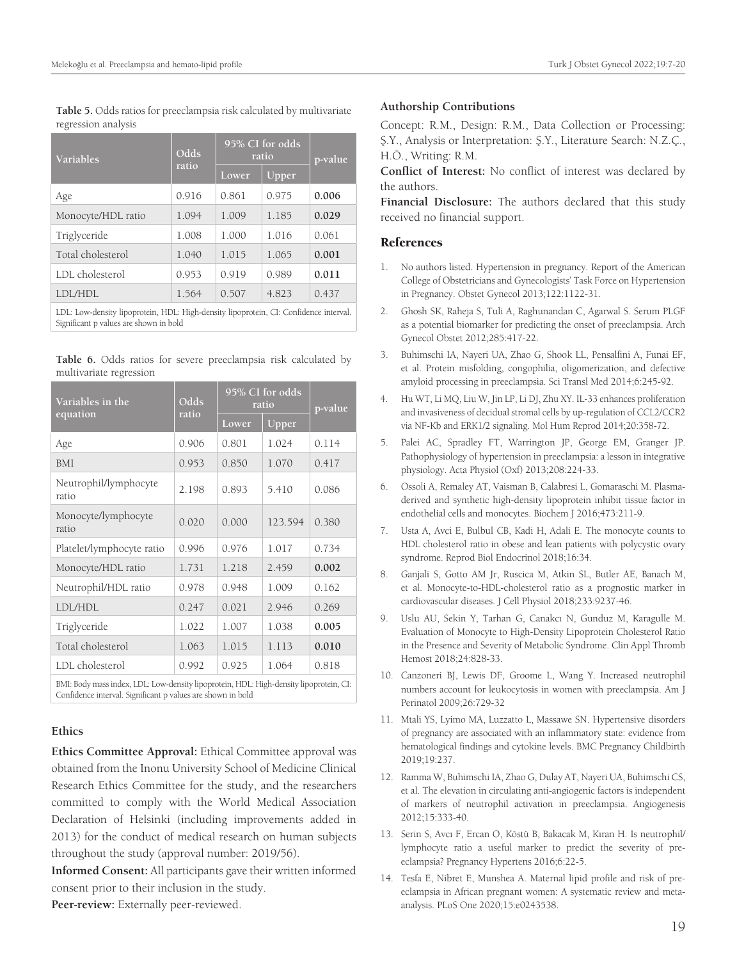**Table 5.** Odds ratios for preeclampsia risk calculated by multivariate regression analysis

| <b>Variables</b>   | Odds  |       | 95% CI for odds<br>ratio | p-value |
|--------------------|-------|-------|--------------------------|---------|
|                    | ratio | Lower | Upper                    |         |
| Age                | 0.916 | 0.861 | 0.975                    | 0.006   |
| Monocyte/HDL ratio | 1.094 | 1.009 | 1.185                    | 0.029   |
| Triglyceride       | 1.008 | 1.000 | 1.016                    | 0.061   |
| Total cholesterol  | 1.040 | 1.015 | 1.065                    | 0.001   |
| LDL cholesterol    | 0.953 | 0.919 | 0.989                    | 0.011   |
| LDI/HDL            | 1.564 | 0.507 | 4.823                    | 0.437   |
|                    |       |       |                          |         |

LDL: Low-density lipoprotein, HDL: High-density lipoprotein, CI: Confidence interval. Significant p values are shown in bold

|                         |  |  | Table 6. Odds ratios for severe preeclampsia risk calculated by |  |  |
|-------------------------|--|--|-----------------------------------------------------------------|--|--|
| multivariate regression |  |  |                                                                 |  |  |

| Variables in the<br>equation   | Odds<br>ratio | 95% CI for odds<br>ratio |          | p-value |
|--------------------------------|---------------|--------------------------|----------|---------|
|                                |               | Lower                    | $U$ pper |         |
| Age                            | 0.906         | 0.801                    | 1.024    | 0.114   |
| <b>BMI</b>                     | 0.953         | 0.850                    | 1.070    | 0.417   |
| Neutrophil/lymphocyte<br>ratio | 2.198         | 0.893                    | 5.410    | 0.086   |
| Monocyte/lymphocyte<br>ratio   | 0.020         | 0.000                    | 123.594  | 0.380   |
| Platelet/lymphocyte ratio      | 0.996         | 0.976                    | 1.017    | 0.734   |
| Monocyte/HDL ratio             | 1.731         | 1.218                    | 2.459    | 0.002   |
| Neutrophil/HDL ratio           | 0.978         | 0.948                    | 1.009    | 0.162   |
| <b>LDL/HDL</b>                 | 0.247         | 0.021                    | 2.946    | 0.269   |
| Triglyceride                   | 1.022         | 1.007                    | 1.038    | 0.005   |
| Total cholesterol              | 1.063         | 1.015                    | 1.113    | 0.010   |
| LDL cholesterol                | 0.992         | 0.925                    | 1.064    | 0.818   |

BMI: Body mass index, LDL: Low-density lipoprotein, HDL: High-density lipoprotein, CI: Confidence interval. Significant p values are shown in bold

#### **Ethics**

**Ethics Committee Approval:** Ethical Committee approval was obtained from the Inonu University School of Medicine Clinical Research Ethics Committee for the study, and the researchers committed to comply with the World Medical Association Declaration of Helsinki (including improvements added in 2013) for the conduct of medical research on human subjects throughout the study (approval number: 2019/56).

**Informed Consent:** All participants gave their written informed consent prior to their inclusion in the study.

**Peer-review:** Externally peer-reviewed.

#### **Authorship Contributions**

Concept: R.M., Design: R.M., Data Collection or Processing: Ş.Y., Analysis or Interpretation: Ş.Y., Literature Search: N.Z.Ç., H.Ö., Writing: R.M.

**Conflict of Interest:** No conflict of interest was declared by the authors.

**Financial Disclosure:** The authors declared that this study received no financial support.

#### References

- 1. No authors listed. Hypertension in pregnancy. Report of the American College of Obstetricians and Gynecologists' Task Force on Hypertension in Pregnancy. Obstet Gynecol 2013;122:1122-31.
- 2. Ghosh SK, Raheja S, Tuli A, Raghunandan C, Agarwal S. Serum PLGF as a potential biomarker for predicting the onset of preeclampsia. Arch Gynecol Obstet 2012;285:417-22.
- 3. Buhimschi IA, Nayeri UA, Zhao G, Shook LL, Pensalfini A, Funai EF, et al. Protein misfolding, congophilia, oligomerization, and defective amyloid processing in preeclampsia. Sci Transl Med 2014;6:245-92.
- 4. Hu WT, Li MQ, Liu W, Jin LP, Li DJ, Zhu XY. IL-33 enhances proliferation and invasiveness of decidual stromal cells by up-regulation of CCL2/CCR2 via NF-Kb and ERK1/2 signaling. Mol Hum Reprod 2014;20:358-72.
- 5. Palei AC, Spradley FT, Warrington JP, George EM, Granger JP. Pathophysiology of hypertension in preeclampsia: a lesson in integrative physiology. Acta Physiol (Oxf) 2013;208:224-33.
- 6. Ossoli A, Remaley AT, Vaisman B, Calabresi L, Gomaraschi M. Plasma‐ derived and synthetic high‐density lipoprotein inhibit tissue factor in endothelial cells and monocytes. Biochem J 2016;473:211-9.
- 7. Usta A, Avci E, Bulbul CB, Kadi H, Adali E. The monocyte counts to HDL cholesterol ratio in obese and lean patients with polycystic ovary syndrome. Reprod Biol Endocrinol 2018;16:34.
- 8. Ganjali S, Gotto AM Jr, Ruscica M, Atkin SL, Butler AE, Banach M, et al. Monocyte-to-HDL-cholesterol ratio as a prognostic marker in cardiovascular diseases. J Cell Physiol 2018;233:9237-46.
- 9. Uslu AU, Sekin Y, Tarhan G, Canakcı N, Gunduz M, Karagulle M. Evaluation of Monocyte to High-Density Lipoprotein Cholesterol Ratio in the Presence and Severity of Metabolic Syndrome. Clin Appl Thromb Hemost 2018;24:828-33.
- 10. Canzoneri BJ, Lewis DF, Groome L, Wang Y. Increased neutrophil numbers account for leukocytosis in women with preeclampsia. Am J Perinatol 2009;26:729-32
- 11. Mtali YS, Lyimo MA, Luzzatto L, Massawe SN. Hypertensive disorders of pregnancy are associated with an inflammatory state: evidence from hematological findings and cytokine levels. BMC Pregnancy Childbirth 2019;19:237.
- 12. Ramma W, Buhimschi IA, Zhao G, Dulay AT, Nayeri UA, Buhimschi CS, et al. The elevation in circulating anti-angiogenic factors is independent of markers of neutrophil activation in preeclampsia. Angiogenesis 2012;15:333-40.
- 13. Serin S, Avcı F, Ercan O, Köstü B, Bakacak M, Kıran H. Is neutrophil/ lymphocyte ratio a useful marker to predict the severity of preeclampsia? Pregnancy Hypertens 2016;6:22-5.
- 14. Tesfa E, Nibret E, Munshea A. Maternal lipid profile and risk of preeclampsia in African pregnant women: A systematic review and metaanalysis. PLoS One 2020;15:e0243538.